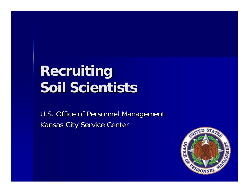## **Recruiting Recruiting Soil Scientists Soil Scientists**

U.S. Office of Personnel Management Kansas City Service Center

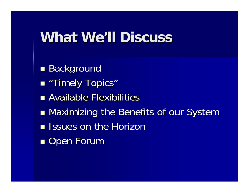#### **What We What We'll Discuss ll Discuss**

- $\blacksquare$  Background
- **Reading Topics**"
- **Available Flexibilities**
- **• Maximizing the Benefits of our System**
- **Issues on the Horizon**
- $\blacksquare$  Open Forum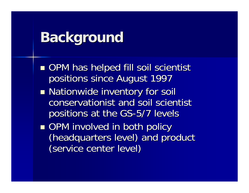#### **Background Background**

- ■ OPM has helped fill soil scientist positions since August 1997
- **Nationwide inventory for soil** conservationist and soil scientist positions at the GS-5/7 levels
- ■ OPM involved in both policy (headquarters level) and product (service center level)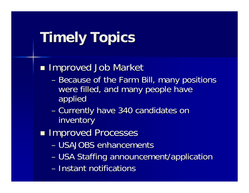# **Timely Topics Timely Topics**

**Improved Job Market** 

- –- Because of the Farm Bill, many positions were filled, and many people have applied
- –– Currently have 340 candidates on inventory
- **Improved Processes** 
	- USAJOBS enhancements
	- USA Staffing announcement/application
	- Instant notifications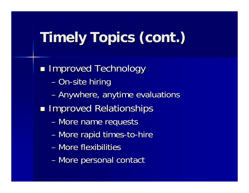# **Timely Topics (cont.) Timely Topics (cont.)**

 $\blacksquare$  **Improved Technology** 

- On-site hiring
- –– Anywhere, anytime evaluations
- **Improved Relationships** 
	- More name requests
	- More rapid times-to-hire
	- More flexibilities
	- –– More personal contact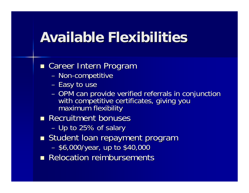### **Available Flexibilities Available Flexibilities**

#### **Examerer Intern Program**

- Non-competitive
- Easy to use
- OPM can provide verified referrals in conjunction<br>with competitive certificates, giving you<br>maximum flexibility
- **Recruitment bonuses** 
	- $-$  Up to 25% of salary
- **Student loan repayment program** 
	- –- \$6,000/year, up to \$40,000
- **Relocation reimbursements**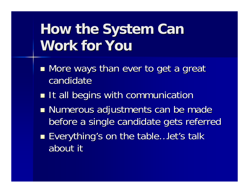# **How the System Can Work for You Work for You**

- $\blacksquare$  More ways than ever to get a great candidate
- **It all begins with communication**
- **Numerous adjustments can be made** before a single candidate gets referred
- ■ Everything's on the table...let's talk about it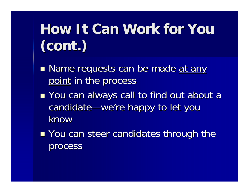# **How It Can Work for You (cont.) (cont.)**

- **n** Name requests can be made <u>at any</u> point in the process
- ■ You can always call to find out about a candidate—we're happy to let you know
- ■ You can steer candidates through the process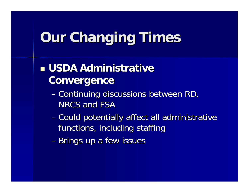## **Our Changing Times**

#### **u USDA Administrative Convergence Convergence**

- –Continuing discussions between RD, Continuing discussions between RD, NRCS and FSA
- –– Could potentially affect all administrative functions, including staffing
- Brings up a few issues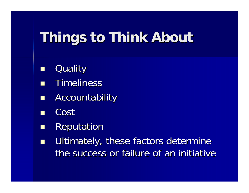# **Things to Think About Things to Think About**

- **Quality**
- **Timeliness**
- $\Box$ Accountability Accountability
- $\blacksquare$ Cost
- $\Box$ **Reputation**
- $\Box$ Ultimately, these factors determine the success or failure of an initiative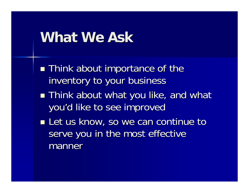#### **What We Ask What We Ask**

- **Think about importance of the** inventory to your business
- **Think about what you like, and what**  $\blacksquare$ you'd like to see improved
- **Let us know, so we can continue to Let us know, so we can continue to** serve you in the most effective manner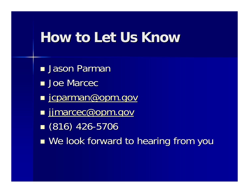### **How to Let Us Know How to Let Us Know**

- **<u>n</u>** Jason Parman
- **Joe Marcec**
- <u>∎ [jcparman@opm.gov](mailto:jcparman@opm.gov)</u>
- ■ [jjmarcec@opm.gov](mailto:jjmarcec@opm.gov)
- $(816)$  426-5706
- ■ We look forward to hearing from you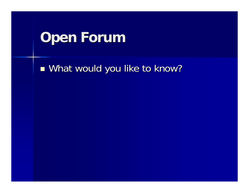### **Open Forum Open Forum**

■ What would you like to know?